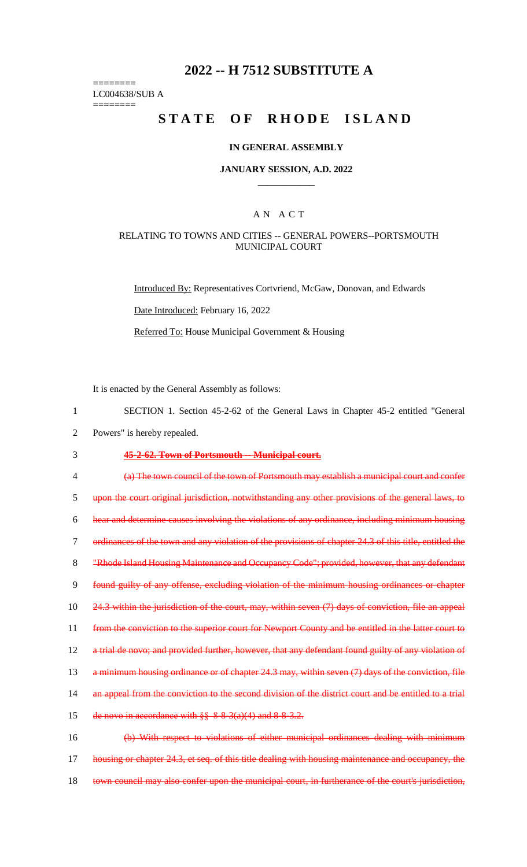# **2022 -- H 7512 SUBSTITUTE A**

======== LC004638/SUB A

========

# **STATE OF RHODE ISLAND**

#### **IN GENERAL ASSEMBLY**

#### **JANUARY SESSION, A.D. 2022 \_\_\_\_\_\_\_\_\_\_\_\_**

## A N A C T

#### RELATING TO TOWNS AND CITIES -- GENERAL POWERS--PORTSMOUTH MUNICIPAL COURT

Introduced By: Representatives Cortvriend, McGaw, Donovan, and Edwards Date Introduced: February 16, 2022 Referred To: House Municipal Government & Housing

It is enacted by the General Assembly as follows:

- 1 SECTION 1. Section 45-2-62 of the General Laws in Chapter 45-2 entitled "General
- 2 Powers" is hereby repealed.

## 3 **45-2-62. Town of Portsmouth -- Municipal court.**

4 (a) The town council of the town of Portsmouth may establish a municipal court and confer 5 upon the court original jurisdiction, notwithstanding any other provisions of the general laws, to 6 hear and determine causes involving the violations of any ordinance, including minimum housing 7 ordinances of the town and any violation of the provisions of chapter 24.3 of this title, entitled the 8 "Rhode Island Housing Maintenance and Occupancy Code"; provided, however, that any defendant 9 found guilty of any offense, excluding violation of the minimum housing ordinances or chapter 10 24.3 within the jurisdiction of the court, may, within seven (7) days of conviction, file an appeal 11 from the conviction to the superior court for Newport County and be entitled in the latter court to 12 a trial de novo; and provided further, however, that any defendant found guilty of any violation of 13 a minimum housing ordinance or of chapter 24.3 may, within seven (7) days of the conviction, file 14 an appeal from the conviction to the second division of the district court and be entitled to a trial 15 de novo in accordance with  $\S$ § 8-8-3(a)(4) and 8-8-3.2. 16 (b) With respect to violations of either municipal ordinances dealing with minimum 17 housing or chapter 24.3, et seq. of this title dealing with housing maintenance and occupancy, the

18 town council may also confer upon the municipal court, in furtherance of the court's jurisdiction,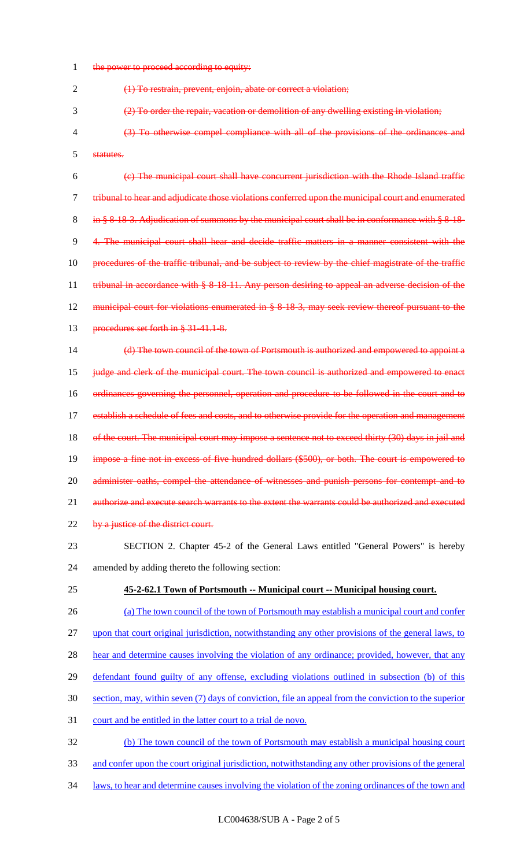1 the power to proceed according to equity:

(1) To restrain, prevent, enjoin, abate or correct a violation;

(2) To order the repair, vacation or demolition of any dwelling existing in violation;

 (3) To otherwise compel compliance with all of the provisions of the ordinances and statutes.

 (c) The municipal court shall have concurrent jurisdiction with the Rhode Island traffic tribunal to hear and adjudicate those violations conferred upon the municipal court and enumerated 8 in § 8-18-3. Adjudication of summons by the municipal court shall be in conformance with § 8-18- 4. The municipal court shall hear and decide traffic matters in a manner consistent with the procedures of the traffic tribunal, and be subject to review by the chief magistrate of the traffic 11 tribunal in accordance with § 8-18-11. Any person desiring to appeal an adverse decision of the municipal court for violations enumerated in § 8-18-3, may seek review thereof pursuant to the 13 procedures set forth in § 31-41.1-8.

 (d) The town council of the town of Portsmouth is authorized and empowered to appoint a judge and clerk of the municipal court. The town council is authorized and empowered to enact ordinances governing the personnel, operation and procedure to be followed in the court and to 17 establish a schedule of fees and costs, and to otherwise provide for the operation and management 18 of the court. The municipal court may impose a sentence not to exceed thirty (30) days in jail and impose a fine not in excess of five hundred dollars (\$500), or both. The court is empowered to 20 administer oaths, compel the attendance of witnesses and punish persons for contempt and to authorize and execute search warrants to the extent the warrants could be authorized and executed 22 by a justice of the district court.

- SECTION 2. Chapter 45-2 of the General Laws entitled "General Powers" is hereby amended by adding thereto the following section:
- **45-2-62.1 Town of Portsmouth -- Municipal court -- Municipal housing court.**
- (a) The town council of the town of Portsmouth may establish a municipal court and confer upon that court original jurisdiction, notwithstanding any other provisions of the general laws, to 28 hear and determine causes involving the violation of any ordinance; provided, however, that any defendant found guilty of any offense, excluding violations outlined in subsection (b) of this section, may, within seven (7) days of conviction, file an appeal from the conviction to the superior court and be entitled in the latter court to a trial de novo. (b) The town council of the town of Portsmouth may establish a municipal housing court
- and confer upon the court original jurisdiction, notwithstanding any other provisions of the general
- laws, to hear and determine causes involving the violation of the zoning ordinances of the town and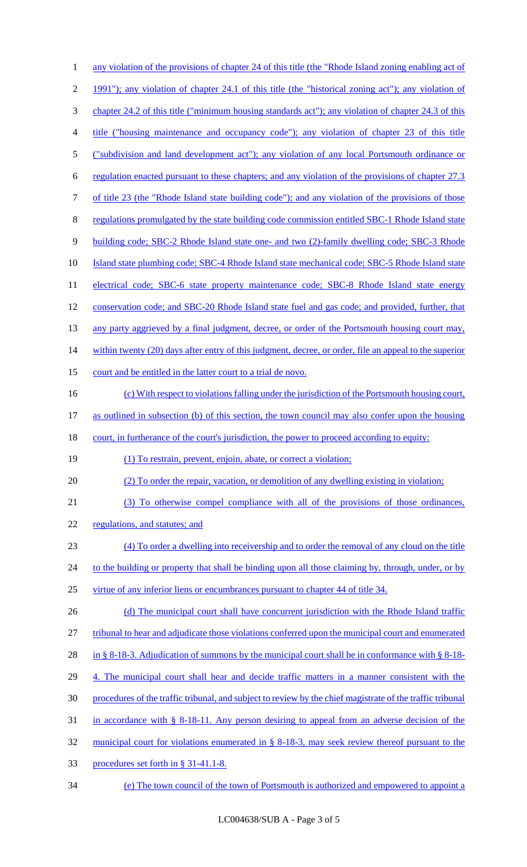| 1                    | any violation of the provisions of chapter 24 of this title (the "Rhode Island zoning enabling act of     |
|----------------------|-----------------------------------------------------------------------------------------------------------|
| $\overline{2}$       | 1991"); any violation of chapter 24.1 of this title (the "historical zoning act"); any violation of       |
| 3                    | chapter 24.2 of this title ("minimum housing standards act"); any violation of chapter 24.3 of this       |
| 4                    | title ("housing maintenance and occupancy code"); any violation of chapter 23 of this title               |
| 5                    | ("subdivision and land development act"); any violation of any local Portsmouth ordinance or              |
| 6                    | regulation enacted pursuant to these chapters; and any violation of the provisions of chapter 27.3        |
| 7                    | of title 23 (the "Rhode Island state building code"); and any violation of the provisions of those        |
| 8                    | regulations promulgated by the state building code commission entitled SBC-1 Rhode Island state           |
| 9                    | building code; SBC-2 Rhode Island state one- and two (2)-family dwelling code; SBC-3 Rhode                |
| 10                   | Island state plumbing code; SBC-4 Rhode Island state mechanical code; SBC-5 Rhode Island state            |
| 11                   | electrical code; SBC-6 state property maintenance code; SBC-8 Rhode Island state energy                   |
| 12                   | conservation code; and SBC-20 Rhode Island state fuel and gas code; and provided, further, that           |
| 13                   | any party aggrieved by a final judgment, decree, or order of the Portsmouth housing court may,            |
| 14                   | within twenty (20) days after entry of this judgment, decree, or order, file an appeal to the superior    |
| 15                   | court and be entitled in the latter court to a trial de novo.                                             |
| 16                   | (c) With respect to violations falling under the jurisdiction of the Portsmouth housing court,            |
| 17                   | as outlined in subsection (b) of this section, the town council may also confer upon the housing          |
|                      |                                                                                                           |
|                      | court, in furtherance of the court's jurisdiction, the power to proceed according to equity:              |
|                      | (1) To restrain, prevent, enjoin, abate, or correct a violation;                                          |
|                      | (2) To order the repair, vacation, or demolition of any dwelling existing in violation;                   |
| 18<br>19<br>20<br>21 | (3) To otherwise compel compliance with all of the provisions of those ordinances,                        |
| 22                   | regulations, and statutes; and                                                                            |
| 23                   | (4) To order a dwelling into receivership and to order the removal of any cloud on the title              |
| 24                   | to the building or property that shall be binding upon all those claiming by, through, under, or by       |
| 25                   | virtue of any inferior liens or encumbrances pursuant to chapter 44 of title 34.                          |
| 26                   | (d) The municipal court shall have concurrent jurisdiction with the Rhode Island traffic                  |
| 27                   | tribunal to hear and adjudicate those violations conferred upon the municipal court and enumerated        |
| 28                   | in § 8-18-3. Adjudication of summons by the municipal court shall be in conformance with § 8-18-          |
| 29                   | 4. The municipal court shall hear and decide traffic matters in a manner consistent with the              |
| 30                   | procedures of the traffic tribunal, and subject to review by the chief magistrate of the traffic tribunal |
| 31                   | in accordance with $\S$ 8-18-11. Any person desiring to appeal from an adverse decision of the            |
| 32                   | municipal court for violations enumerated in § 8-18-3, may seek review thereof pursuant to the            |
| 33                   | procedures set forth in § 31-41.1-8.                                                                      |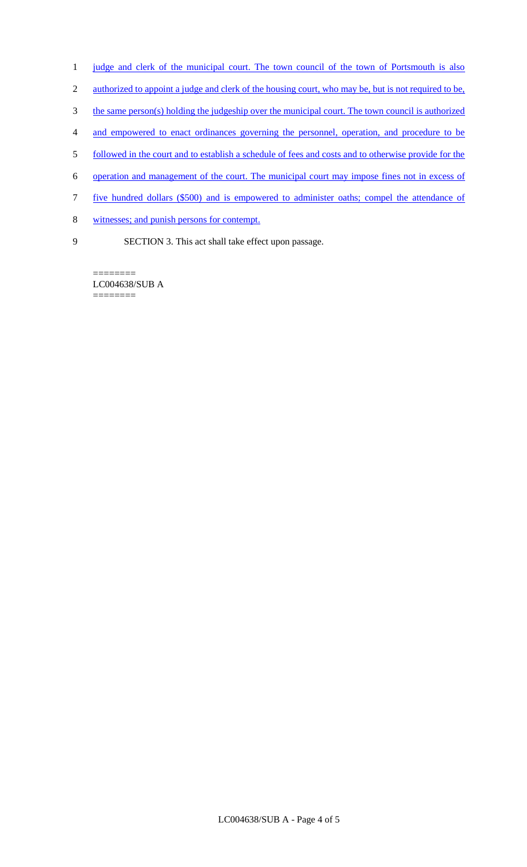- 1 judge and clerk of the municipal court. The town council of the town of Portsmouth is also
- 2 authorized to appoint a judge and clerk of the housing court, who may be, but is not required to be,
- 3 the same person(s) holding the judgeship over the municipal court. The town council is authorized
- 4 and empowered to enact ordinances governing the personnel, operation, and procedure to be
- 5 followed in the court and to establish a schedule of fees and costs and to otherwise provide for the
- 6 operation and management of the court. The municipal court may impose fines not in excess of
- 7 five hundred dollars (\$500) and is empowered to administer oaths; compel the attendance of
- 8 witnesses; and punish persons for contempt.
- 9 SECTION 3. This act shall take effect upon passage.

LC004638/SUB A ========

========